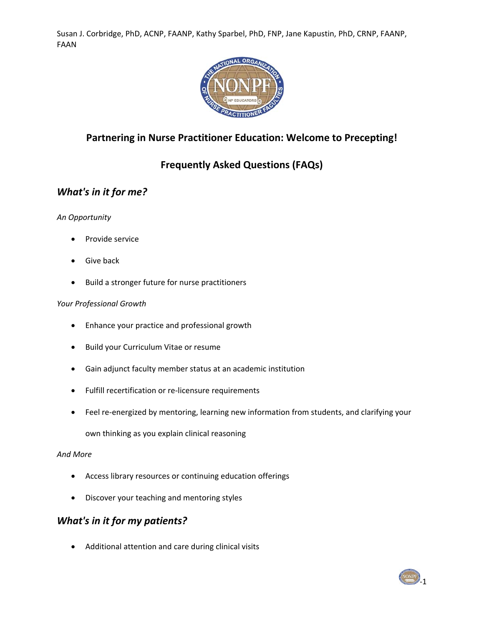

# **Partnering in Nurse Practitioner Education: Welcome to Precepting!**

# **Frequently Asked Questions (FAQs)**

## *What's in it for me?*

#### *An Opportunity*

- Provide service
- Give back
- Build a stronger future for nurse practitioners

#### *Your Professional Growth*

- Enhance your practice and professional growth
- Build your Curriculum Vitae or resume
- Gain adjunct faculty member status at an academic institution
- Fulfill recertification or re-licensure requirements
- Feel re-energized by mentoring, learning new information from students, and clarifying your

own thinking as you explain clinical reasoning

#### *And More*

- Access library resources or continuing education offerings
- Discover your teaching and mentoring styles

#### *What's in it for my patients?*

Additional attention and care during clinical visits

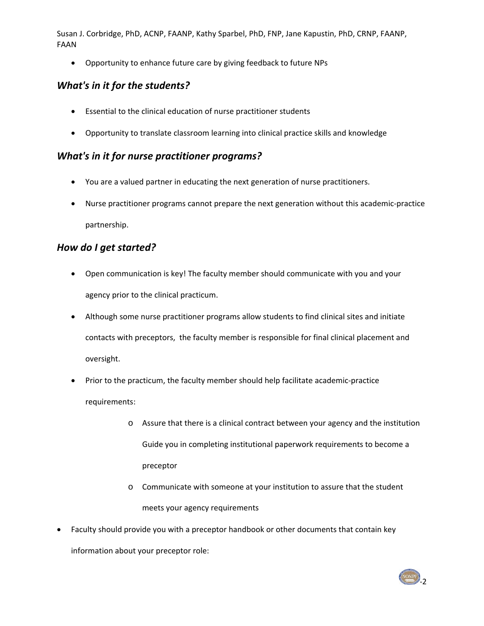Opportunity to enhance future care by giving feedback to future NPs

# *What's in it for the students?*

- Essential to the clinical education of nurse practitioner students
- Opportunity to translate classroom learning into clinical practice skills and knowledge

### *What's in it for nurse practitioner programs?*

- You are a valued partner in educating the next generation of nurse practitioners.
- Nurse practitioner programs cannot prepare the next generation without this academic-practice partnership.

## *How do I get started?*

- Open communication is key! The faculty member should communicate with you and your agency prior to the clinical practicum.
- Although some nurse practitioner programs allow students to find clinical sites and initiate contacts with preceptors, the faculty member is responsible for final clinical placement and oversight.
- Prior to the practicum, the faculty member should help facilitate academic-practice requirements:
	- o Assure that there is a clinical contract between your agency and the institution Guide you in completing institutional paperwork requirements to become a preceptor
	- o Communicate with someone at your institution to assure that the student meets your agency requirements
- Faculty should provide you with a preceptor handbook or other documents that contain key information about your preceptor role:

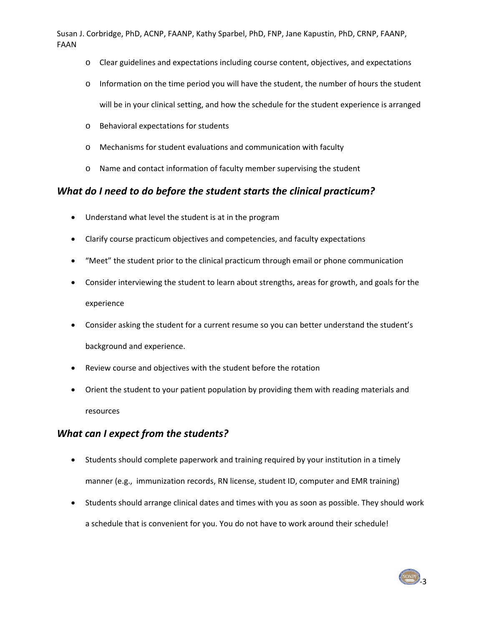- o Clear guidelines and expectations including course content, objectives, and expectations
- o Information on the time period you will have the student, the number of hours the student will be in your clinical setting, and how the schedule for the student experience is arranged
- o Behavioral expectations for students
- o Mechanisms for student evaluations and communication with faculty
- o Name and contact information of faculty member supervising the student

#### *What do I need to do before the student starts the clinical practicum?*

- Understand what level the student is at in the program
- Clarify course practicum objectives and competencies, and faculty expectations
- "Meet" the student prior to the clinical practicum through email or phone communication
- Consider interviewing the student to learn about strengths, areas for growth, and goals for the experience
- Consider asking the student for a current resume so you can better understand the student's background and experience.
- Review course and objectives with the student before the rotation
- Orient the student to your patient population by providing them with reading materials and resources

## *What can I expect from the students?*

- Students should complete paperwork and training required by your institution in a timely manner (e.g., immunization records, RN license, student ID, computer and EMR training)
- Students should arrange clinical dates and times with you as soon as possible. They should work a schedule that is convenient for you. You do not have to work around their schedule!

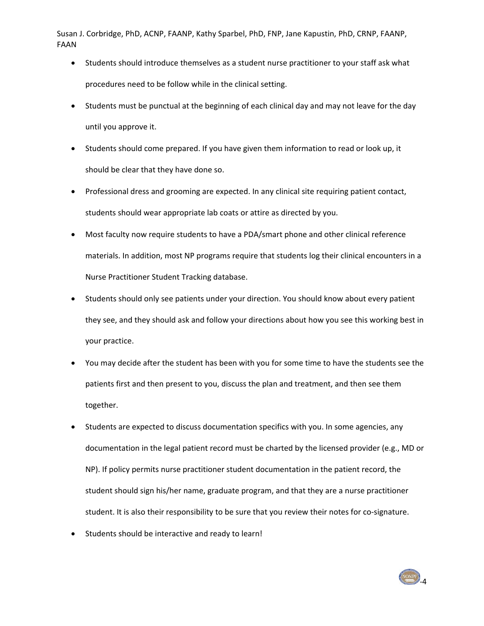- Students should introduce themselves as a student nurse practitioner to your staff ask what procedures need to be follow while in the clinical setting.
- Students must be punctual at the beginning of each clinical day and may not leave for the day until you approve it.
- Students should come prepared. If you have given them information to read or look up, it should be clear that they have done so.
- Professional dress and grooming are expected. In any clinical site requiring patient contact, students should wear appropriate lab coats or attire as directed by you.
- Most faculty now require students to have a PDA/smart phone and other clinical reference materials. In addition, most NP programs require that students log their clinical encounters in a Nurse Practitioner Student Tracking database.
- Students should only see patients under your direction. You should know about every patient they see, and they should ask and follow your directions about how you see this working best in your practice.
- You may decide after the student has been with you for some time to have the students see the patients first and then present to you, discuss the plan and treatment, and then see them together.
- Students are expected to discuss documentation specifics with you. In some agencies, any documentation in the legal patient record must be charted by the licensed provider (e.g., MD or NP). If policy permits nurse practitioner student documentation in the patient record, the student should sign his/her name, graduate program, and that they are a nurse practitioner student. It is also their responsibility to be sure that you review their notes for co-signature.
- Students should be interactive and ready to learn!

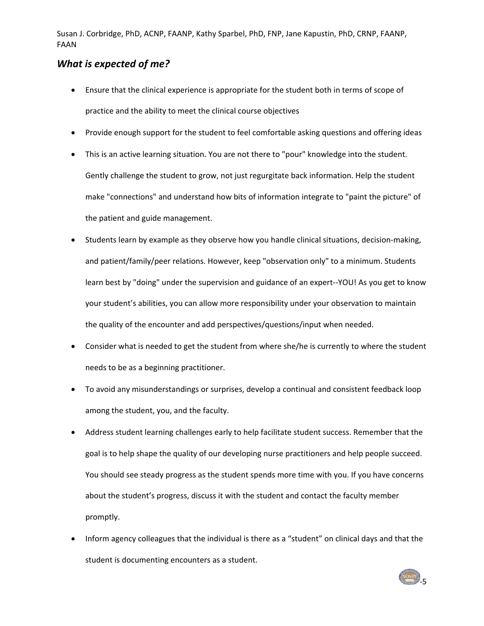#### *What is expected of me?*

- Ensure that the clinical experience is appropriate for the student both in terms of scope of practice and the ability to meet the clinical course objectives
- Provide enough support for the student to feel comfortable asking questions and offering ideas
- This is an active learning situation. You are not there to "pour" knowledge into the student. Gently challenge the student to grow, not just regurgitate back information. Help the student make "connections" and understand how bits of information integrate to "paint the picture" of the patient and guide management.
- Students learn by example as they observe how you handle clinical situations, decision‐making, and patient/family/peer relations. However, keep "observation only" to a minimum. Students learn best by "doing" under the supervision and guidance of an expert--YOU! As you get to know your student's abilities, you can allow more responsibility under your observation to maintain the quality of the encounter and add perspectives/questions/input when needed.
- Consider what is needed to get the student from where she/he is currently to where the student needs to be as a beginning practitioner.
- To avoid any misunderstandings or surprises, develop a continual and consistent feedback loop among the student, you, and the faculty.
- Address student learning challenges early to help facilitate student success. Remember that the goal is to help shape the quality of our developing nurse practitioners and help people succeed. You should see steady progress as the student spends more time with you. If you have concerns about the student's progress, discuss it with the student and contact the faculty member promptly.
- Inform agency colleagues that the individual is there as a "student" on clinical days and that the student is documenting encounters as a student.

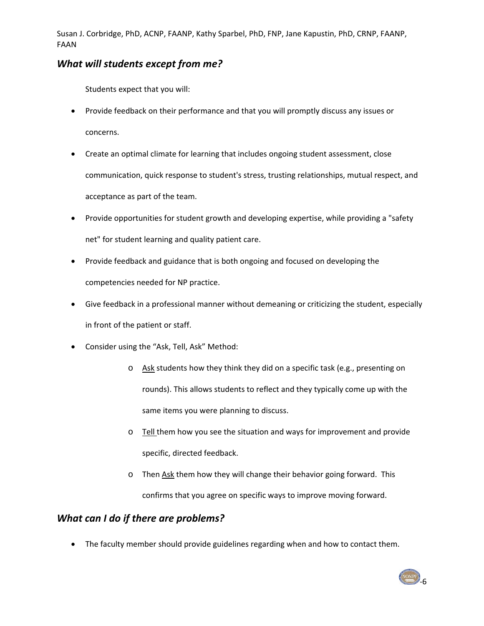## *What will students except from me?*

Students expect that you will:

- Provide feedback on their performance and that you will promptly discuss any issues or concerns.
- Create an optimal climate for learning that includes ongoing student assessment, close communication, quick response to student's stress, trusting relationships, mutual respect, and acceptance as part of the team.
- Provide opportunities for student growth and developing expertise, while providing a "safety" net" for student learning and quality patient care.
- Provide feedback and guidance that is both ongoing and focused on developing the competencies needed for NP practice.
- Give feedback in a professional manner without demeaning or criticizing the student, especially in front of the patient or staff.
- Consider using the "Ask, Tell, Ask" Method:
	- o Ask students how they think they did on a specific task (e.g., presenting on rounds). This allows students to reflect and they typically come up with the same items you were planning to discuss.
	- o Tell them how you see the situation and ways for improvement and provide specific, directed feedback.
	- o Then Ask them how they will change their behavior going forward. This confirms that you agree on specific ways to improve moving forward.

## *What can I do if there are problems?*

• The faculty member should provide guidelines regarding when and how to contact them.